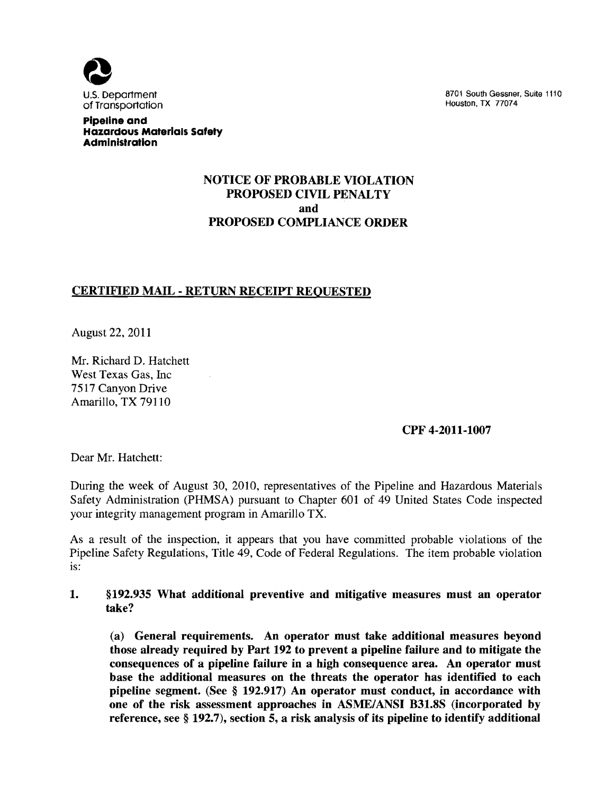

U.S. Department and the state of the state of the state of the state 1110 of the South Gessner. Suite 1110 of <br>Transportation of the state of the state of the state of the state of the state of the state of the state of t

#### **pipeline and Hazardous Materials Safety Administration**

# NOTICE OF PROBABLE VIOLATION PROPOSED CIVIL PENALTY and PROPOSED COMPLIANCE ORDER

# CERTIFIED MAIL - RETURN RECEIPT REQUESTED

August 22,2011

Mr. Richard D. Hatchett West Texas Gas, mc 7517 Canyon Drive Amarillo, TX 79110

CPF 4-2011-1007

Dear Mr. Hatchett:

During the week of August 30, 2010, representatives of the Pipeline and Hazardous Materials Safety Administration (PHMSA) pursuant to Chapter 601 of 49 United States Code inspected your integrity management program in Amarillo TX.

As a result of the inspection, it appears that you have committed probable violations of the Pipeline Safety Regulations, Title 49, Code of Federal Regulations. The item probable violation is:

## 1. §192.935 What additional preventive and mitigative measures must an operator take?

(a) General requirements. An operator must take additional measures beyond those already required by Part 192 to prevent a pipeline failure and to mitigate the consequences of a pipeline failure in a high consequence area. An operator must base the additional measures on the threats the operator has identified to each pipeline segment. (See § 192.917) An operator must conduct, in accordance with one of the risk assessment approaches in *ASME/ANSI* B31.8S (incorporated by reference, see § 192.7), section 5, a risk analysis of its pipeline to identify additional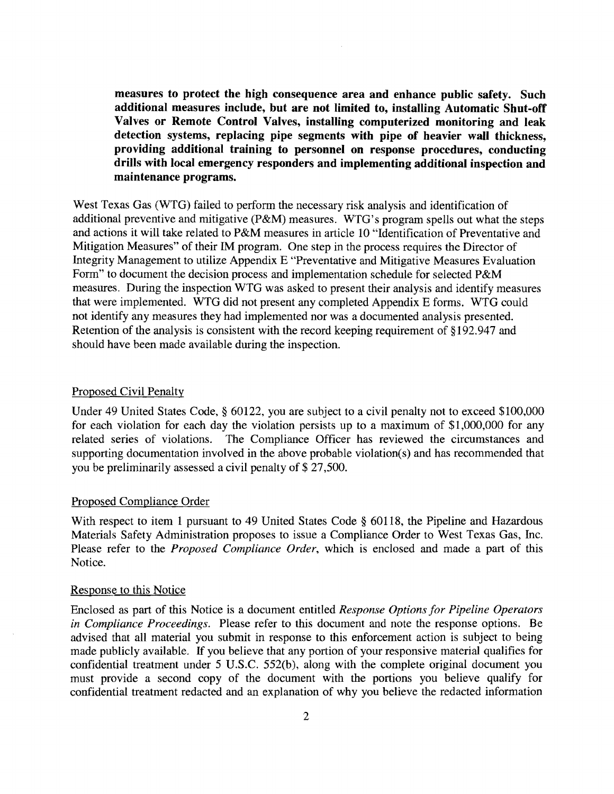measures to protect the high consequence area and enhance public safety. Such additional measures include, but are not limited to, installing Automatic Shut-off Valves or Remote Control Valves, installing computerized monitoring and leak detection systems, replacing pipe segments with pipe of heavier wall thickness, providing additional training to personnel on response procedures, conducting drills with local emergency responders and implementing additional inspection and maintenance programs.

West Texas Gas (WTG) failed to perform the necessary risk analysis and identification of additional preventive and mitigative (P&M) measures. WTG's program spells out what the steps and actions it will take related to P&M measures in article 10 "Identification of Preventative and Mitigation Measures" of their 1M program. One step in the process requires the Director of Integrity Management to utilize Appendix E "Preventative and Mitigative Measures Evaluation Form" to document the decision process and implementation schedule for selected P&M measures. During the inspection WTG was asked to present their analysis and identify measures that were implemented. WTG did not present any completed Appendix E forms. WTG could not identify any measures they had implemented nor was a documented analysis presented. Retention of the analysis is consistent with the record keeping requirement of §192.947 and should have been made available during the inspection.

### Proposed Civil Penalty

Under 49 United States Code, § 60122, you are subject to a civil penalty not to exceed \$100,000 for each violation for each day the violation persists up to a maximum of \$1,000,000 for any related series of violations. The Compliance Officer has reviewed the circumstances and supporting documentation involved in the above probable violation(s) and has recommended that you be preliminarily assessed a civil penalty of \$ 27,500.

#### Proposed Compliance Order

With respect to item 1 pursuant to 49 United States Code § 60118, the Pipeline and Hazardous Materials Safety Administration proposes to issue a Compliance Order to West Texas Gas, Inc. Please refer to the *Proposed Compliance Order,* which is enclosed and made a part of this Notice.

#### Response to this Notice

Enclosed as part of this Notice is a document entitled *Response Options for Pipeline Operators in Compliance Proceedings.* Please refer to this document and note the response options. Be advised that all material you submit in response to this enforcement action is subject to being made publicly available. If you believe that any portion of your responsive material qualifies for confidential treatment under 5 U.S.C. 552(b), along with the complete original document you must provide a second copy of the document with the portions you believe qualify for confidential treatment redacted and an explanation of why you believe the redacted information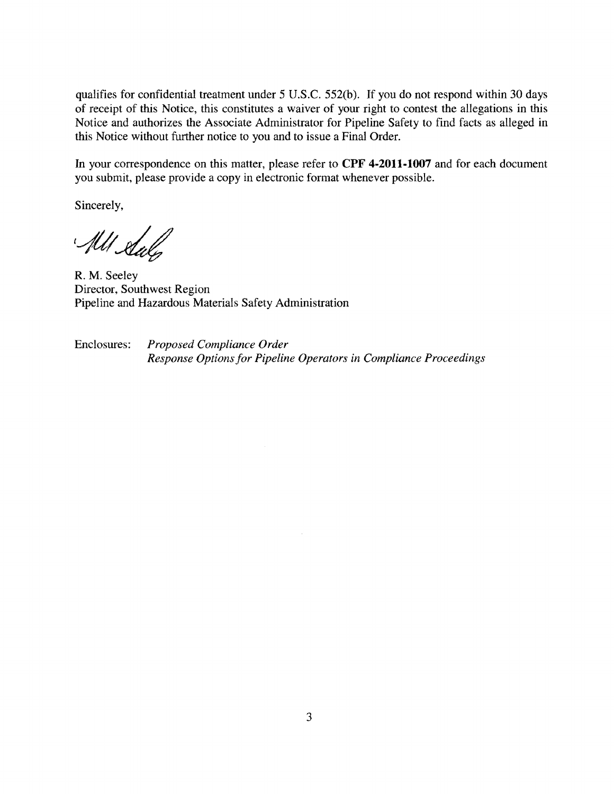qualifies for confidential treatment under 5 U.S.c. 552(b). If you do not respond within 30 days of receipt of this Notice, this constitutes a waiver of your right to contest the allegations **in** this Notice and authorizes the Associate Administrator for Pipeline Safety to find facts as alleged in this Notice without further notice to you and to issue a Final Order.

**In** your correspondence on this matter, please refer to **CPF 4-2011-1007** and for each document you submit, please provide a copy in electronic format whenever possible.

Sincerely,

All Staly

R. M. Seeley Director, Southwest Region Pipeline and Hazardous Materials Safety Administration

Enclosures: *Proposed Compliance Order Response Options for Pipeline Operators in Compliance Proceedings*